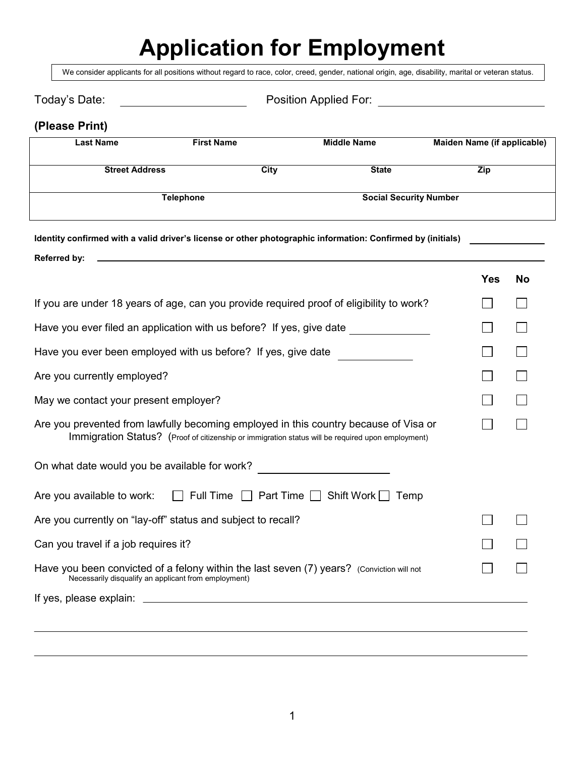# **Application for Employment**

We consider applicants for all positions without regard to race, color, creed, gender, national origin, age, disability, marital or veteran status.

| Today's Date:                                                                                                                                     | <u> 1989 - Johann Barn, mars eta bainar eta idazlea (</u>                                         |             |                               |            |                             |
|---------------------------------------------------------------------------------------------------------------------------------------------------|---------------------------------------------------------------------------------------------------|-------------|-------------------------------|------------|-----------------------------|
| (Please Print)                                                                                                                                    |                                                                                                   |             |                               |            |                             |
| <b>Last Name</b>                                                                                                                                  | <b>First Name</b>                                                                                 |             | <b>Middle Name</b>            |            | Maiden Name (if applicable) |
| <b>Street Address</b>                                                                                                                             |                                                                                                   | <b>City</b> | <b>State</b>                  | <b>Zip</b> |                             |
|                                                                                                                                                   | <b>Telephone</b>                                                                                  |             | <b>Social Security Number</b> |            |                             |
| Identity confirmed with a valid driver's license or other photographic information: Confirmed by (initials)                                       |                                                                                                   |             |                               |            |                             |
| Referred by:                                                                                                                                      |                                                                                                   |             |                               | <b>Yes</b> | <b>No</b>                   |
| If you are under 18 years of age, can you provide required proof of eligibility to work?                                                          |                                                                                                   |             |                               |            |                             |
| Have you ever filed an application with us before? If yes, give date                                                                              |                                                                                                   |             |                               |            |                             |
| Have you ever been employed with us before? If yes, give date                                                                                     |                                                                                                   |             |                               |            |                             |
| Are you currently employed?                                                                                                                       |                                                                                                   |             |                               |            |                             |
| May we contact your present employer?                                                                                                             |                                                                                                   |             |                               |            |                             |
| Are you prevented from lawfully becoming employed in this country because of Visa or                                                              | Immigration Status? (Proof of citizenship or immigration status will be required upon employment) |             |                               |            |                             |
| On what date would you be available for work?                                                                                                     |                                                                                                   |             |                               |            |                             |
| Are you available to work:                                                                                                                        | $\Box$ Full Time $\Box$ Part Time $\Box$ Shift Work $\Box$ Temp                                   |             |                               |            |                             |
| Are you currently on "lay-off" status and subject to recall?                                                                                      |                                                                                                   |             |                               |            |                             |
| Can you travel if a job requires it?                                                                                                              |                                                                                                   |             |                               |            |                             |
| Have you been convicted of a felony within the last seven (7) years? (Conviction will not<br>Necessarily disqualify an applicant from employment) |                                                                                                   |             |                               |            |                             |
|                                                                                                                                                   |                                                                                                   |             |                               |            |                             |
|                                                                                                                                                   |                                                                                                   |             |                               |            |                             |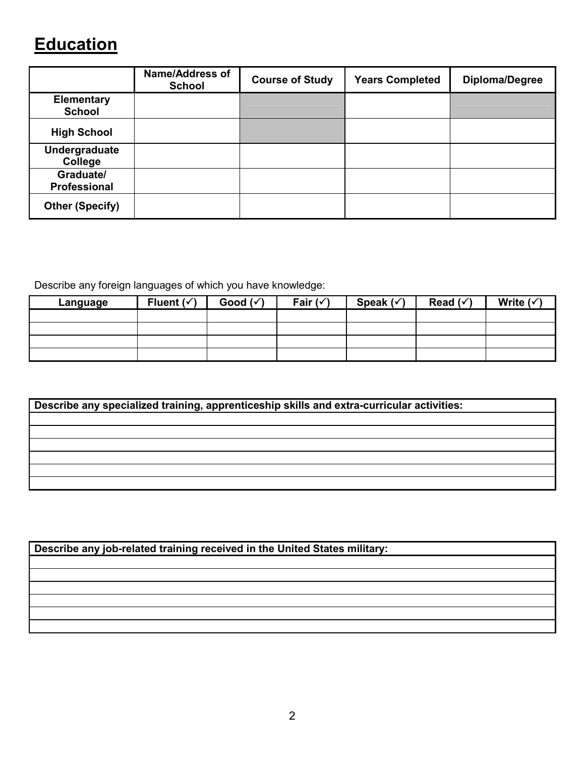## **Education**

|                                    | <b>Name/Address of</b><br><b>School</b> | <b>Course of Study</b> | <b>Years Completed</b> | <b>Diploma/Degree</b> |
|------------------------------------|-----------------------------------------|------------------------|------------------------|-----------------------|
| <b>Elementary</b><br><b>School</b> |                                         |                        |                        |                       |
| <b>High School</b>                 |                                         |                        |                        |                       |
| Undergraduate<br>College           |                                         |                        |                        |                       |
| Graduate/<br>Professional          |                                         |                        |                        |                       |
| <b>Other (Specify)</b>             |                                         |                        |                        |                       |

Describe any foreign languages of which you have knowledge:

| Language | Fluent $(\checkmark)$ | Good $(\checkmark)$ | Fair $(\checkmark)$ | Speak $(\checkmark)$ | Read $(\checkmark)$ | Write $(\checkmark)$ |
|----------|-----------------------|---------------------|---------------------|----------------------|---------------------|----------------------|
|          |                       |                     |                     |                      |                     |                      |
|          |                       |                     |                     |                      |                     |                      |
|          |                       |                     |                     |                      |                     |                      |
|          |                       |                     |                     |                      |                     |                      |

| Describe any specialized training, apprenticeship skills and extra-curricular activities: |
|-------------------------------------------------------------------------------------------|
|                                                                                           |
|                                                                                           |
|                                                                                           |
|                                                                                           |
|                                                                                           |
|                                                                                           |

| Describe any job-related training received in the United States military: |  |
|---------------------------------------------------------------------------|--|
|---------------------------------------------------------------------------|--|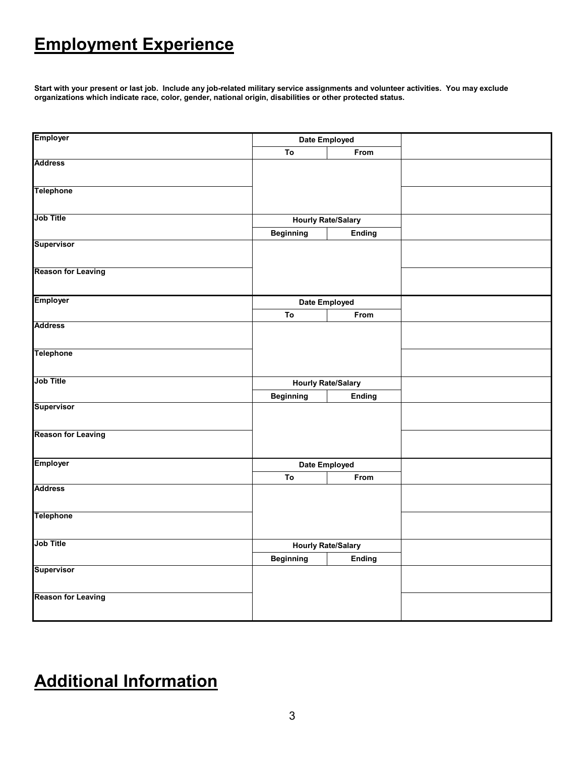## **Employment Experience**

**Start with your present or last job. Include any job-related military service assignments and volunteer activities. You may exclude organizations which indicate race, color, gender, national origin, disabilities or other protected status.** 

| <b>Employer</b>           |                  | Date Employed             |  |
|---------------------------|------------------|---------------------------|--|
|                           | To               | From                      |  |
| <b>Address</b>            |                  |                           |  |
| <b>Telephone</b>          |                  |                           |  |
| <b>Job Title</b>          |                  | <b>Hourly Rate/Salary</b> |  |
|                           | <b>Beginning</b> | <b>Ending</b>             |  |
| <b>Supervisor</b>         |                  |                           |  |
| <b>Reason for Leaving</b> |                  |                           |  |
| <b>Employer</b>           |                  | Date Employed             |  |
|                           | To               | From                      |  |
| <b>Address</b>            |                  |                           |  |
| <b>Telephone</b>          |                  |                           |  |
| Job Title                 |                  | <b>Hourly Rate/Salary</b> |  |
|                           | <b>Beginning</b> | <b>Ending</b>             |  |
| Supervisor                |                  |                           |  |
| <b>Reason for Leaving</b> |                  |                           |  |
| <b>Employer</b>           |                  | Date Employed             |  |
|                           | To               | From                      |  |
| <b>Address</b>            |                  |                           |  |
| <b>Telephone</b>          |                  |                           |  |
| <b>Job Title</b>          |                  | <b>Hourly Rate/Salary</b> |  |
|                           | <b>Beginning</b> | <b>Ending</b>             |  |
| Supervisor                |                  |                           |  |
| <b>Reason for Leaving</b> |                  |                           |  |

## **Additional Information**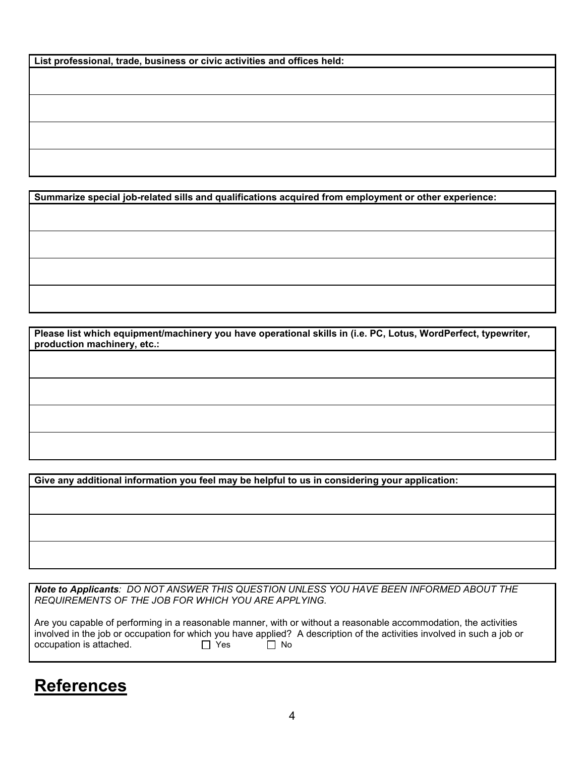| List professional, trade, business or civic activities and offices held: |  |
|--------------------------------------------------------------------------|--|
|--------------------------------------------------------------------------|--|

**Summarize special job-related sills and qualifications acquired from employment or other experience:**

**Please list which equipment/machinery you have operational skills in (i.e. PC, Lotus, WordPerfect, typewriter, production machinery, etc.:** 

**Give any additional information you feel may be helpful to us in considering your application:**

*Note to Applicants: DO NOT ANSWER THIS QUESTION UNLESS YOU HAVE BEEN INFORMED ABOUT THE REQUIREMENTS OF THE JOB FOR WHICH YOU ARE APPLYING.*

Are you capable of performing in a reasonable manner, with or without a reasonable accommodation, the activities involved in the job or occupation for which you have applied? A description of the activities involved in such a job or occupation is attached.<br>  $\Box$  Yes  $\Box$  No occupation is attached.

### **References**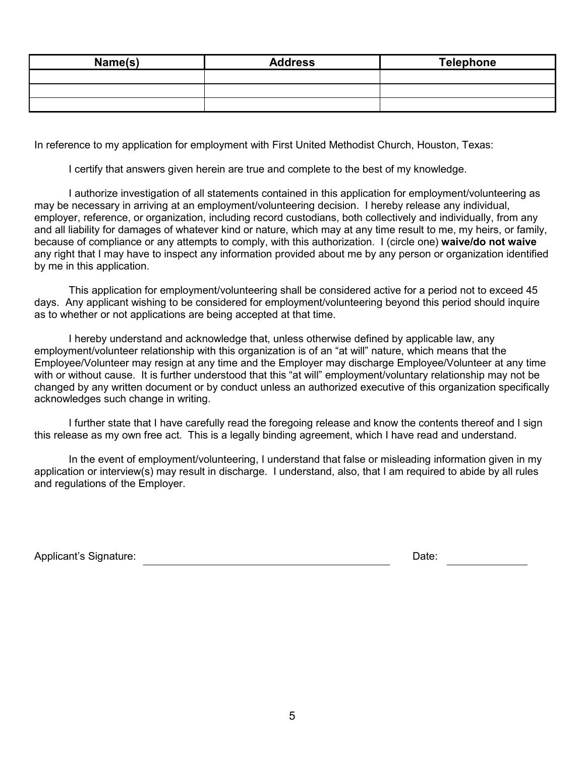| Name(s) | <b>Address</b> | Telephone |
|---------|----------------|-----------|
|         |                |           |
|         |                |           |
|         |                |           |

In reference to my application for employment with First United Methodist Church, Houston, Texas:

I certify that answers given herein are true and complete to the best of my knowledge.

 I authorize investigation of all statements contained in this application for employment/volunteering as may be necessary in arriving at an employment/volunteering decision. I hereby release any individual, employer, reference, or organization, including record custodians, both collectively and individually, from any and all liability for damages of whatever kind or nature, which may at any time result to me, my heirs, or family, because of compliance or any attempts to comply, with this authorization. I (circle one) **waive/do not waive** any right that I may have to inspect any information provided about me by any person or organization identified by me in this application.

 This application for employment/volunteering shall be considered active for a period not to exceed 45 days. Any applicant wishing to be considered for employment/volunteering beyond this period should inquire as to whether or not applications are being accepted at that time.

 I hereby understand and acknowledge that, unless otherwise defined by applicable law, any employment/volunteer relationship with this organization is of an "at will" nature, which means that the Employee/Volunteer may resign at any time and the Employer may discharge Employee/Volunteer at any time with or without cause. It is further understood that this "at will" employment/voluntary relationship may not be changed by any written document or by conduct unless an authorized executive of this organization specifically acknowledges such change in writing.

 I further state that I have carefully read the foregoing release and know the contents thereof and I sign this release as my own free act. This is a legally binding agreement, which I have read and understand.

 In the event of employment/volunteering, I understand that false or misleading information given in my application or interview(s) may result in discharge. I understand, also, that I am required to abide by all rules and regulations of the Employer.

Applicant's Signature: **Date:** Date: Date: Date: Date: Date: Date: Date: Date: Date: Date: Date: Date: Date: Date: Date: Date: Date: Date: Date: Date: Date: Date: Date: Date: Date: Date: Date: Date: Date: Date: Date: Date: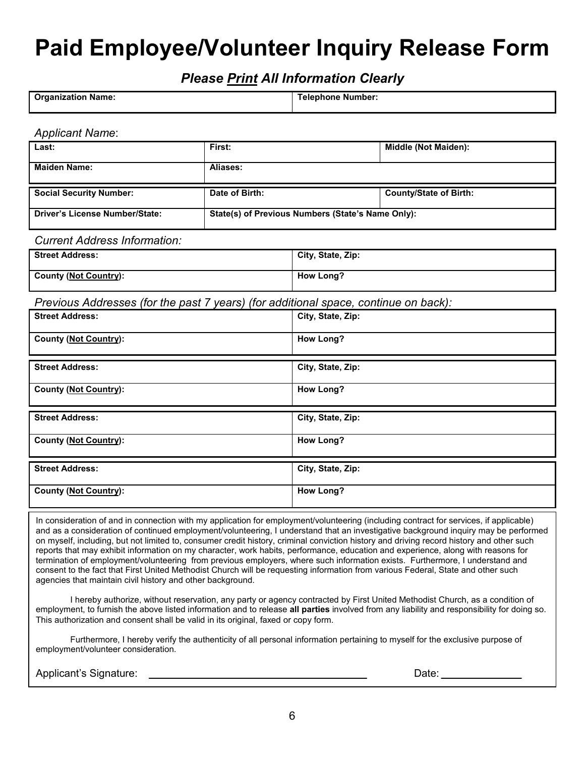# **Paid Employee/Volunteer Inquiry Release Form**

*Please Print All Information Clearly* 

| <b>Organization Name:</b> | Telephone Number: |
|---------------------------|-------------------|
|                           |                   |

#### *Applicant Name*:

| Last:                          | First:                                            | Middle (Not Maiden):          |
|--------------------------------|---------------------------------------------------|-------------------------------|
| <b>Maiden Name:</b>            | Aliases:                                          |                               |
| <b>Social Security Number:</b> | Date of Birth:                                    | <b>County/State of Birth:</b> |
| Driver's License Number/State: | State(s) of Previous Numbers (State's Name Only): |                               |

#### *Current Address Information:*

| <b>Street Address:</b> | City, State, Zip: |
|------------------------|-------------------|
| County (Not Country):  | How Long?         |

*Previous Addresses (for the past 7 years) (for additional space, continue on back):* 

| <b>Street Address:</b>       | City, State, Zip: |
|------------------------------|-------------------|
| <b>County (Not Country):</b> | <b>How Long?</b>  |
| <b>Street Address:</b>       | City, State, Zip: |
| <b>County (Not Country):</b> | <b>How Long?</b>  |
|                              |                   |
| <b>Street Address:</b>       | City, State, Zip: |
| <b>County (Not Country):</b> | <b>How Long?</b>  |
| <b>Street Address:</b>       | City, State, Zip: |

In consideration of and in connection with my application for employment/volunteering (including contract for services, if applicable) and as a consideration of continued employment/volunteering, I understand that an investigative background inquiry may be performed on myself, including, but not limited to, consumer credit history, criminal conviction history and driving record history and other such reports that may exhibit information on my character, work habits, performance, education and experience, along with reasons for termination of employment/volunteering from previous employers, where such information exists. Furthermore, I understand and consent to the fact that First United Methodist Church will be requesting information from various Federal, State and other such agencies that maintain civil history and other background.

 I hereby authorize, without reservation, any party or agency contracted by First United Methodist Church, as a condition of employment, to furnish the above listed information and to release **all parties** involved from any liability and responsibility for doing so. This authorization and consent shall be valid in its original, faxed or copy form.

 Furthermore, I hereby verify the authenticity of all personal information pertaining to myself for the exclusive purpose of employment/volunteer consideration.

Applicant's Signature: Letter and Date: Date: Date: Date: Date: Date: Date: Date: Date: Date: Date: Date: Date: Date: Date: Date: Date: Date: Date: Date: Date: Date: Date: Date: Date: Date: Date: Date: Date: Date: Date: Da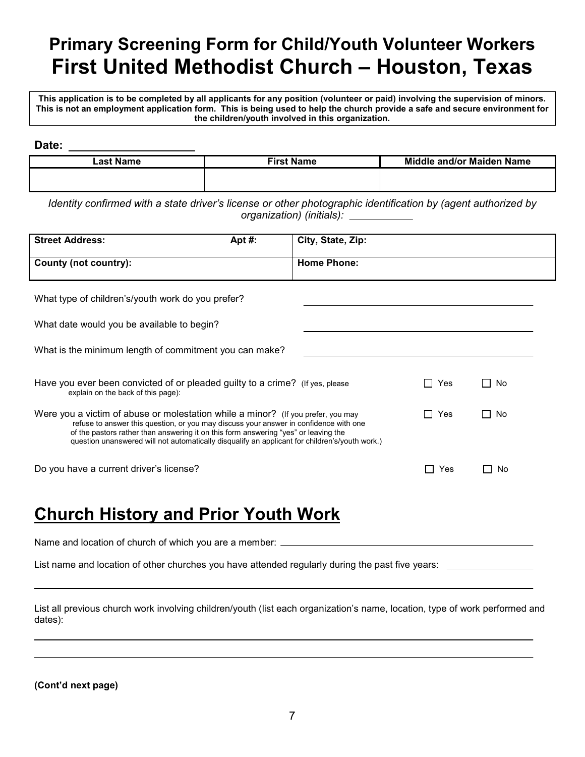## **Primary Screening Form for Child/Youth Volunteer Workers First United Methodist Church – Houston, Texas**

**This application is to be completed by all applicants for any position (volunteer or paid) involving the supervision of minors. This is not an employment application form. This is being used to help the church provide a safe and secure environment for the children/youth involved in this organization.** 

**Date:** 

| Last Name | <b>First Name</b> | <b>Middle and/or Maiden Name</b> |
|-----------|-------------------|----------------------------------|
|           |                   |                                  |
|           |                   |                                  |
|           |                   |                                  |

*Identity confirmed with a state driver's license or other photographic identification by (agent authorized by organization) (initials):* 

| <b>Street Address:</b> | Apt #: | City, State, Zip:  |
|------------------------|--------|--------------------|
| County (not country):  |        | <b>Home Phone:</b> |

What type of children's/youth work do you prefer?

What date would you be available to begin?

|  | What is the minimum length of commitment you can make? |
|--|--------------------------------------------------------|
|  |                                                        |

| Have you ever been convicted of or pleaded guilty to a crime? (If yes, please<br>explain on the back of this page):                                                                                                                                                                                                                                                | Yes | No |
|--------------------------------------------------------------------------------------------------------------------------------------------------------------------------------------------------------------------------------------------------------------------------------------------------------------------------------------------------------------------|-----|----|
| Were you a victim of abuse or molestation while a minor? (If you prefer, you may<br>refuse to answer this question, or you may discuss your answer in confidence with one<br>of the pastors rather than answering it on this form answering "yes" or leaving the<br>question unanswered will not automatically disqualify an applicant for children's/youth work.) | Yes | No |

Do you have a current driver's license?  $\Box$  Yes  $\Box$  No

### **Church History and Prior Youth Work**

Name and location of church of which you are a member:

List name and location of other churches you have attended regularly during the past five years:

List all previous church work involving children/youth (list each organization's name, location, type of work performed and dates):

**(Cont'd next page)**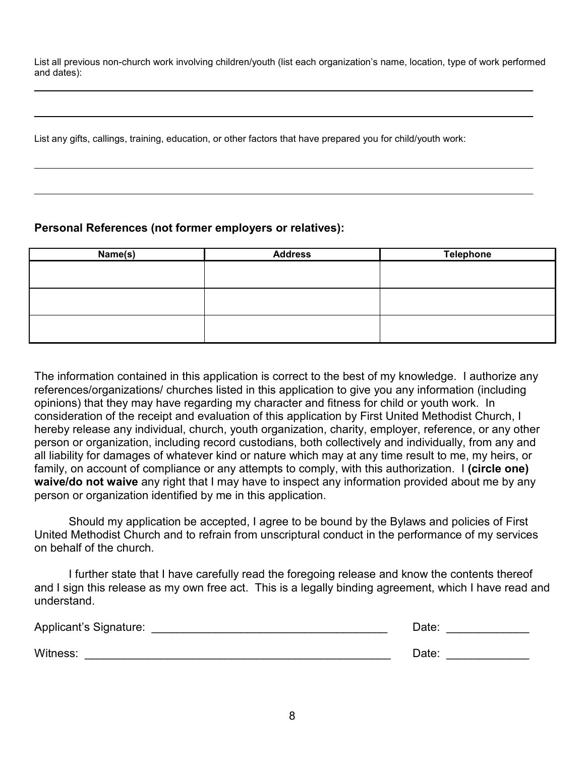List all previous non-church work involving children/youth (list each organization's name, location, type of work performed and dates):

List any gifts, callings, training, education, or other factors that have prepared you for child/youth work:

#### **Personal References (not former employers or relatives):**

| Name(s) | <b>Address</b> | <b>Telephone</b> |
|---------|----------------|------------------|
|         |                |                  |
|         |                |                  |
|         |                |                  |
|         |                |                  |
|         |                |                  |
|         |                |                  |

The information contained in this application is correct to the best of my knowledge. I authorize any references/organizations/ churches listed in this application to give you any information (including opinions) that they may have regarding my character and fitness for child or youth work. In consideration of the receipt and evaluation of this application by First United Methodist Church, I hereby release any individual, church, youth organization, charity, employer, reference, or any other person or organization, including record custodians, both collectively and individually, from any and all liability for damages of whatever kind or nature which may at any time result to me, my heirs, or family, on account of compliance or any attempts to comply, with this authorization. I **(circle one) waive/do not waive** any right that I may have to inspect any information provided about me by any person or organization identified by me in this application.

 Should my application be accepted, I agree to be bound by the Bylaws and policies of First United Methodist Church and to refrain from unscriptural conduct in the performance of my services on behalf of the church.

 I further state that I have carefully read the foregoing release and know the contents thereof and I sign this release as my own free act. This is a legally binding agreement, which I have read and understand.

| Applicant's Signature: | Date: |
|------------------------|-------|
| Witness:               | Date: |